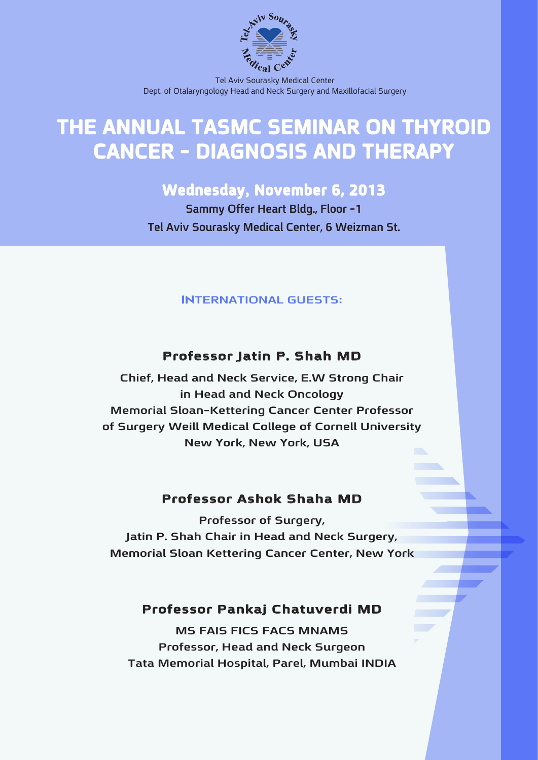

Tel Aviv Sourasky Medical Center Dept. of Otalaryngology Head and Neck Surgery and Maxillofacial Surgery

# **THE ANNUAL TASMC SEMINAR ON THYROID CANCER - DIAGNOSIS AND THERAPY**

## **Wednesday, November 6, 2013**

**Sammy Offer Heart Bldg., Floor -1 Tel Aviv Sourasky Medical Center, 6 Weizman St.** 

#### **INTERNATIONAL GUESTS:**

## **Professor Jatin P. Shah MD**

**Chief, Head and Neck Service, E.W Strong Chair in Head and Neck Oncology Memorial Sloan-Kettering Cancer Center Professor** of Surgery Weill Medical College of Cornell University New York, New York, USA

#### **Professor Ashok Shaha MD**

**Professor of Surgery, Jatin P. Shah Chair in Head and Neck Surgery, Memorial Sloan Kettering Cancer Center, New York** 

### **Professor Pankai Chatuverdi MD**

**MS FAIS FICS FACS MNAMS Professor, Head and Neck Surgeon Tata Memorial Hospital, Parel, Mumbai INDIA**